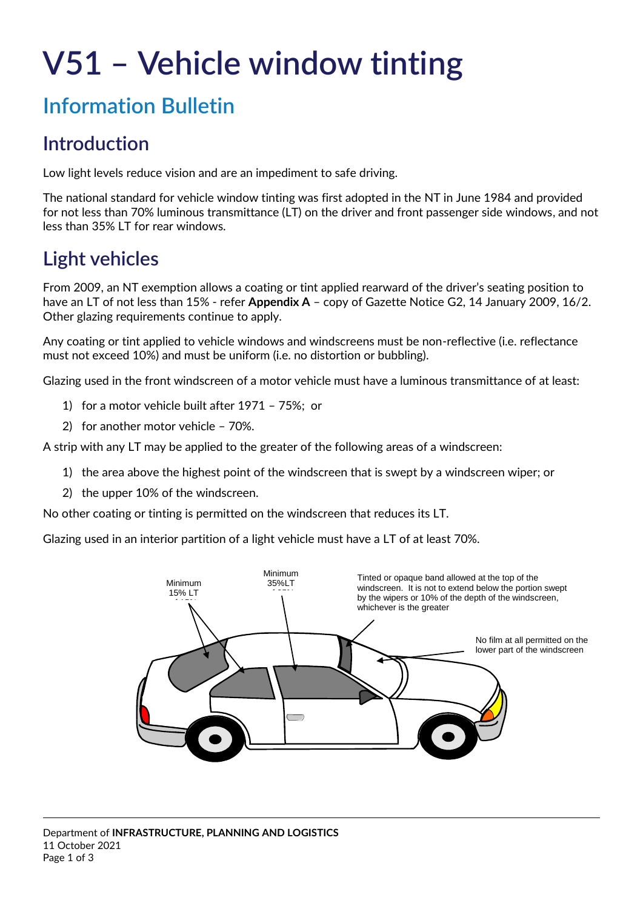# **V51 – Vehicle window tinting**

# **Information Bulletin**

## **Introduction**

Low light levels reduce vision and are an impediment to safe driving.

The national standard for vehicle window tinting was first adopted in the NT in June 1984 and provided for not less than 70% luminous transmittance (LT) on the driver and front passenger side windows, and not less than 35% LT for rear windows.

## **Light vehicles**

From 2009, an NT exemption allows a coating or tint applied rearward of the driver's seating position to have an LT of not less than 15% - refer **Appendix A** – copy of Gazette Notice G2, 14 January 2009, 16/2. Other glazing requirements continue to apply.

Any coating or tint applied to vehicle windows and windscreens must be non-reflective (i.e. reflectance must not exceed 10%) and must be uniform (i.e. no distortion or bubbling).

Glazing used in the front windscreen of a motor vehicle must have a luminous transmittance of at least:

- 1) for a motor vehicle built after 1971 75%; or
- 2) for another motor vehicle 70%.

A strip with any LT may be applied to the greater of the following areas of a windscreen:

- 1) the area above the highest point of the windscreen that is swept by a windscreen wiper; or
- 2) the upper 10% of the windscreen.

No other coating or tinting is permitted on the windscreen that reduces its LT.

Glazing used in an interior partition of a light vehicle must have a LT of at least 70%.

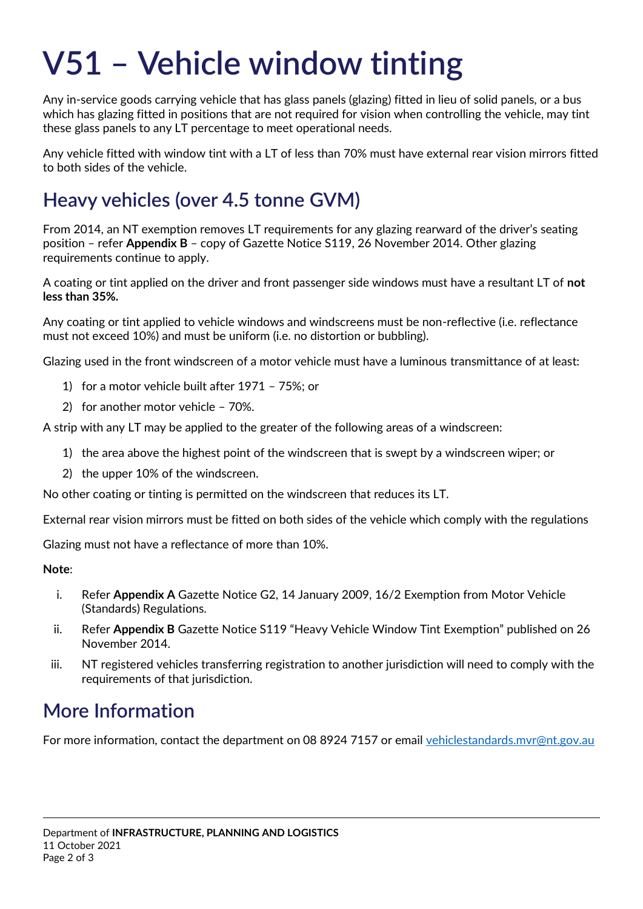# **V51 – Vehicle window tinting**

Any in-service goods carrying vehicle that has glass panels (glazing) fitted in lieu of solid panels, or a bus which has glazing fitted in positions that are not required for vision when controlling the vehicle, may tint these glass panels to any LT percentage to meet operational needs.

Any vehicle fitted with window tint with a LT of less than 70% must have external rear vision mirrors fitted to both sides of the vehicle.

## **Heavy vehicles (over 4.5 tonne GVM)**

From 2014, an NT exemption removes LT requirements for any glazing rearward of the driver's seating position – refer **Appendix B** – copy of Gazette Notice S119, 26 November 2014. Other glazing requirements continue to apply.

A coating or tint applied on the driver and front passenger side windows must have a resultant LT of **not less than 35%.**

Any coating or tint applied to vehicle windows and windscreens must be non-reflective (i.e. reflectance must not exceed 10%) and must be uniform (i.e. no distortion or bubbling).

Glazing used in the front windscreen of a motor vehicle must have a luminous transmittance of at least:

- 1) for a motor vehicle built after 1971 75%; or
- 2) for another motor vehicle 70%.

A strip with any LT may be applied to the greater of the following areas of a windscreen:

- 1) the area above the highest point of the windscreen that is swept by a windscreen wiper; or
- 2) the upper 10% of the windscreen.

No other coating or tinting is permitted on the windscreen that reduces its LT.

External rear vision mirrors must be fitted on both sides of the vehicle which comply with the regulations

Glazing must not have a reflectance of more than 10%.

#### **Note**:

- i. Refer **Appendix A** Gazette Notice G2, 14 January 2009, 16/2 Exemption from Motor Vehicle (Standards) Regulations.
- ii. Refer **Appendix B** Gazette Notice S119 "Heavy Vehicle Window Tint Exemption" published on 26 November 2014.
- iii. NT registered vehicles transferring registration to another jurisdiction will need to comply with the requirements of that jurisdiction.

## **More Information**

For more information, contact the department on 08 8924 7157 or email [vehiclestandards.mvr@nt.gov.au](mailto:vehiclestandards.mvr@nt.gov.au)